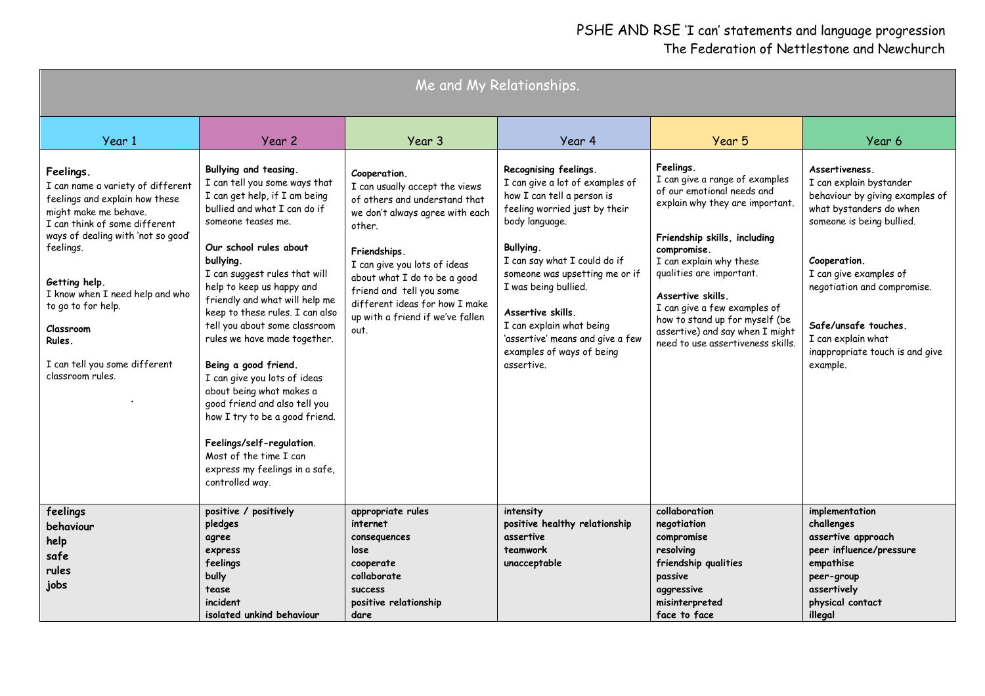| Me and My Relationships.                                                                                                                                                                                                                                                                                                                            |                                                                                                                                                                                                                                                                                                                                                                                                                                                                                                                                                                                                                                                             |                                                                                                                                                                                                                                                                                                                        |                                                                                                                                                                                                                                                                                                                                                                                  |                                                                                                                                                                                                                                                                                                                                                                                   |                                                                                                                                                                                                                                                                                                            |  |  |  |
|-----------------------------------------------------------------------------------------------------------------------------------------------------------------------------------------------------------------------------------------------------------------------------------------------------------------------------------------------------|-------------------------------------------------------------------------------------------------------------------------------------------------------------------------------------------------------------------------------------------------------------------------------------------------------------------------------------------------------------------------------------------------------------------------------------------------------------------------------------------------------------------------------------------------------------------------------------------------------------------------------------------------------------|------------------------------------------------------------------------------------------------------------------------------------------------------------------------------------------------------------------------------------------------------------------------------------------------------------------------|----------------------------------------------------------------------------------------------------------------------------------------------------------------------------------------------------------------------------------------------------------------------------------------------------------------------------------------------------------------------------------|-----------------------------------------------------------------------------------------------------------------------------------------------------------------------------------------------------------------------------------------------------------------------------------------------------------------------------------------------------------------------------------|------------------------------------------------------------------------------------------------------------------------------------------------------------------------------------------------------------------------------------------------------------------------------------------------------------|--|--|--|
| Year 1                                                                                                                                                                                                                                                                                                                                              | Year 2                                                                                                                                                                                                                                                                                                                                                                                                                                                                                                                                                                                                                                                      | Year 3                                                                                                                                                                                                                                                                                                                 | Year 4                                                                                                                                                                                                                                                                                                                                                                           | Year 5                                                                                                                                                                                                                                                                                                                                                                            | Year 6                                                                                                                                                                                                                                                                                                     |  |  |  |
| Feelings.<br>I can name a variety of different<br>feelings and explain how these<br>might make me behave.<br>I can think of some different<br>ways of dealing with 'not so good'<br>feelings.<br>Getting help.<br>I know when I need help and who<br>to go to for help.<br>Classroom<br>Rules.<br>I can tell you some different<br>classroom rules. | Bullying and teasing.<br>I can tell you some ways that<br>I can get help, if I am being<br>bullied and what I can do if<br>someone teases me.<br>Our school rules about<br>bullying.<br>I can suggest rules that will<br>help to keep us happy and<br>friendly and what will help me<br>keep to these rules. I can also<br>tell you about some classroom<br>rules we have made together.<br>Being a good friend.<br>I can give you lots of ideas<br>about being what makes a<br>good friend and also tell you<br>how I try to be a good friend.<br>Feelings/self-regulation.<br>Most of the time I can<br>express my feelings in a safe,<br>controlled way. | Cooperation.<br>I can usually accept the views<br>of others and understand that<br>we don't always agree with each<br>other.<br>Friendships.<br>I can give you lots of ideas<br>about what I do to be a good<br>friend and tell you some<br>different ideas for how I make<br>up with a friend if we've fallen<br>out. | Recognising feelings.<br>I can give a lot of examples of<br>how I can tell a person is<br>feeling worried just by their<br>body language.<br>Bullying.<br>I can say what I could do if<br>someone was upsetting me or if<br>I was being bullied.<br>Assertive skills.<br>I can explain what being<br>'assertive' means and give a few<br>examples of ways of being<br>assertive. | Feelings.<br>I can give a range of examples<br>of our emotional needs and<br>explain why they are important.<br>Friendship skills, including<br>compromise.<br>I can explain why these<br>qualities are important.<br>Assertive skills.<br>I can give a few examples of<br>how to stand up for myself (be<br>assertive) and say when I might<br>need to use assertiveness skills. | Assertiveness.<br>I can explain bystander<br>behaviour by giving examples of<br>what bystanders do when<br>someone is being bullied.<br>Cooperation.<br>I can give examples of<br>negotiation and compromise.<br>Safe/unsafe touches.<br>I can explain what<br>inappropriate touch is and give<br>example. |  |  |  |
| feelings<br>behaviour<br>help<br>safe<br>rules<br>jobs                                                                                                                                                                                                                                                                                              | positive / positively<br>pledges<br>agree<br>express<br>feelings<br>bully<br>tease<br>incident<br>isolated unkind behaviour                                                                                                                                                                                                                                                                                                                                                                                                                                                                                                                                 | appropriate rules<br>internet<br>consequences<br>lose<br>cooperate<br>collaborate<br><b>SUCCESS</b><br>positive relationship<br>dare                                                                                                                                                                                   | intensity<br>positive healthy relationship<br>assertive<br>teamwork<br>unacceptable                                                                                                                                                                                                                                                                                              | collaboration<br>negotiation<br>compromise<br>resolving<br>friendship qualities<br>passive<br>aggressive<br>misinterpreted<br>face to face                                                                                                                                                                                                                                        | implementation<br>challenges<br>assertive approach<br>peer influence/pressure<br>empathise<br>peer-group<br>assertively<br>physical contact<br>illegal                                                                                                                                                     |  |  |  |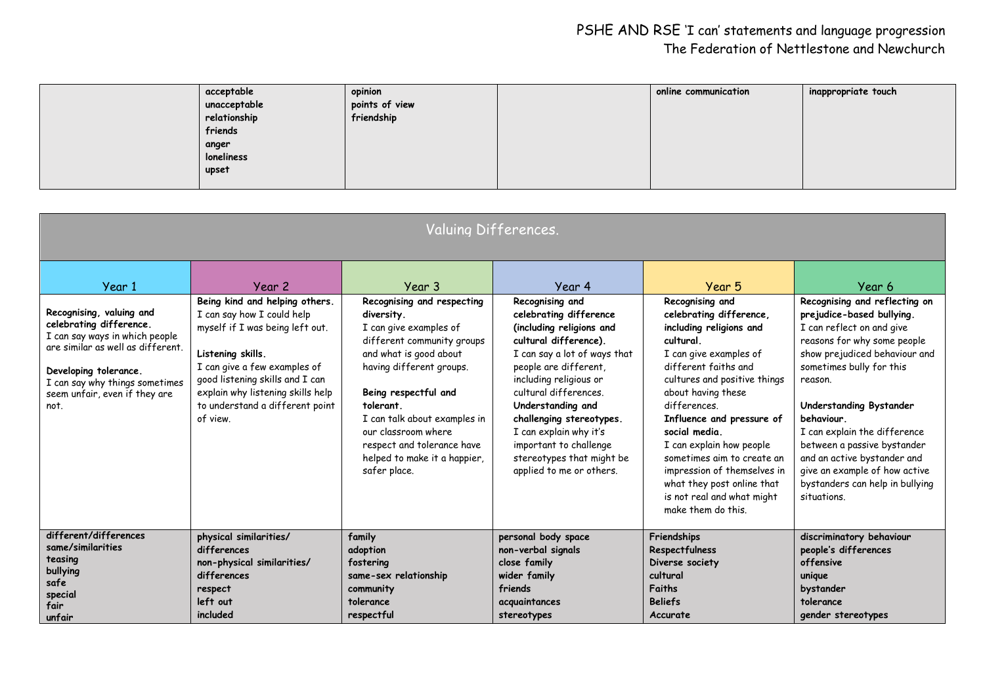| acceptable        | opinion        | online communication | inappropriate touch |
|-------------------|----------------|----------------------|---------------------|
| unacceptable      | points of view |                      |                     |
| relationship      | friendship     |                      |                     |
| friends           |                |                      |                     |
| anger             |                |                      |                     |
| <b>loneliness</b> |                |                      |                     |
| upset             |                |                      |                     |
|                   |                |                      |                     |

| Valuing Differences.                                                                                                                                                                                                                     |                                                                                                                                                                                                                                                                                       |                                                                                                                                                                                                                                                                                                                                            |                                                                                                                                                                                                                                                                                                                                                                                    |                                                                                                                                                                                                                                                                                                                                                                                                                                               |                                                                                                                                                                                                                                                                                                                                                                                                                                    |  |  |  |
|------------------------------------------------------------------------------------------------------------------------------------------------------------------------------------------------------------------------------------------|---------------------------------------------------------------------------------------------------------------------------------------------------------------------------------------------------------------------------------------------------------------------------------------|--------------------------------------------------------------------------------------------------------------------------------------------------------------------------------------------------------------------------------------------------------------------------------------------------------------------------------------------|------------------------------------------------------------------------------------------------------------------------------------------------------------------------------------------------------------------------------------------------------------------------------------------------------------------------------------------------------------------------------------|-----------------------------------------------------------------------------------------------------------------------------------------------------------------------------------------------------------------------------------------------------------------------------------------------------------------------------------------------------------------------------------------------------------------------------------------------|------------------------------------------------------------------------------------------------------------------------------------------------------------------------------------------------------------------------------------------------------------------------------------------------------------------------------------------------------------------------------------------------------------------------------------|--|--|--|
| Year 1<br>Recognising, valuing and<br>celebrating difference.<br>I can say ways in which people<br>are similar as well as different.<br>Developing tolerance.<br>I can say why things sometimes<br>seem unfair, even if they are<br>not. | Year 2<br>Being kind and helping others.<br>I can say how I could help<br>myself if I was being left out.<br>Listening skills.<br>I can give a few examples of<br>good listening skills and I can<br>explain why listening skills help<br>to understand a different point<br>of view. | Year 3<br>Recognising and respecting<br>diversity.<br>I can give examples of<br>different community groups<br>and what is good about<br>having different groups.<br>Being respectful and<br>tolerant.<br>I can talk about examples in<br>our classroom where<br>respect and tolerance have<br>helped to make it a happier,<br>safer place. | Year 4<br>Recognising and<br>celebrating difference<br>(including religions and<br>cultural difference).<br>I can say a lot of ways that<br>people are different,<br>including religious or<br>cultural differences.<br>Understanding and<br>challenging stereotypes.<br>I can explain why it's<br>important to challenge<br>stereotypes that might be<br>applied to me or others. | Year 5<br>Recognising and<br>celebrating difference,<br>including religions and<br>cultural.<br>I can give examples of<br>different faiths and<br>cultures and positive things<br>about having these<br>differences.<br>Influence and pressure of<br>social media.<br>I can explain how people<br>sometimes aim to create an<br>impression of themselves in<br>what they post online that<br>is not real and what might<br>make them do this. | Year 6<br>Recognising and reflecting on<br>prejudice-based bullying.<br>I can reflect on and give<br>reasons for why some people<br>show prejudiced behaviour and<br>sometimes bully for this<br>reason.<br>Understanding Bystander<br>behaviour.<br>I can explain the difference<br>between a passive bystander<br>and an active bystander and<br>give an example of how active<br>bystanders can help in bullying<br>situations. |  |  |  |
| different/differences<br>same/similarities<br>teasing<br>bullying<br>safe<br>special<br>fair<br>unfair                                                                                                                                   | physical similarities/<br>differences<br>non-physical similarities/<br>differences<br>respect<br>left out<br>included                                                                                                                                                                 | family<br>adoption<br>fostering<br>same-sex relationship<br>community<br>tolerance<br>respectful                                                                                                                                                                                                                                           | personal body space<br>non-verbal signals<br>close family<br>wider family<br>friends<br>acquaintances<br>stereotypes                                                                                                                                                                                                                                                               | Friendships<br>Respectfulness<br>Diverse society<br>cultural<br><b>Faiths</b><br><b>Beliefs</b><br>Accurate                                                                                                                                                                                                                                                                                                                                   | discriminatory behaviour<br>people's differences<br>offensive<br>unique<br>bystander<br>tolerance<br>gender stereotypes                                                                                                                                                                                                                                                                                                            |  |  |  |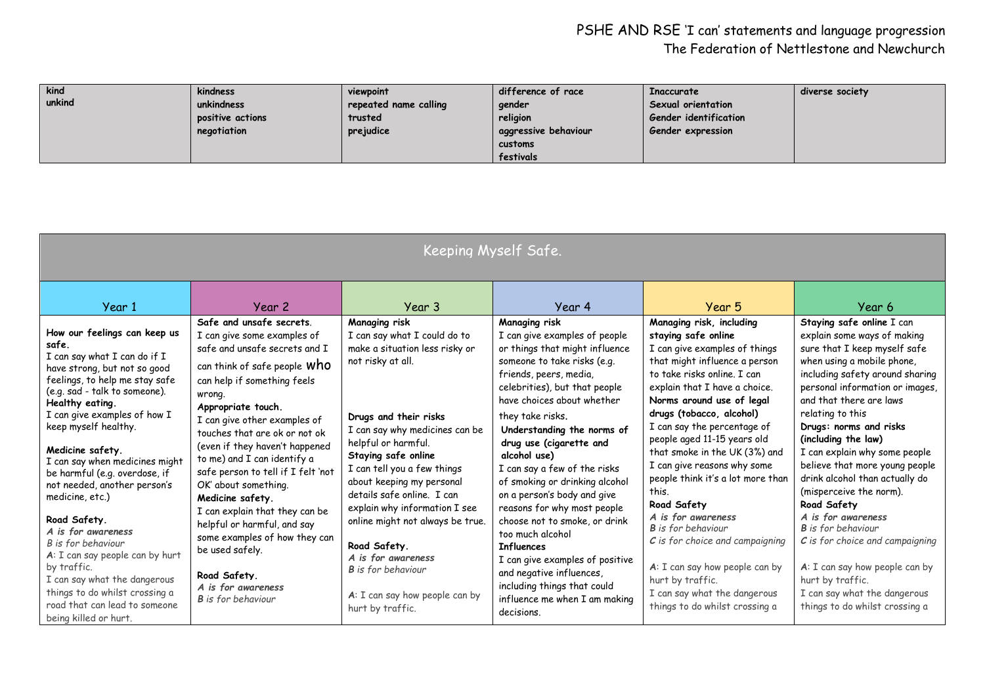| kind   | kindness         | viewpoint             | difference of race   | Inaccurate               | diverse society |
|--------|------------------|-----------------------|----------------------|--------------------------|-----------------|
| unkind | unkindness       | repeated name calling | gender               | Sexual orientation       |                 |
|        | positive actions | trusted               | religion             | Gender identification    |                 |
|        | negotiation      | prejudice             | aggressive behaviour | <b>Gender expression</b> |                 |
|        |                  |                       | customs              |                          |                 |
|        |                  |                       | festivals            |                          |                 |

| Keeping Myself Safe.                                                                                                                                                                                                                                                                                                                                                                                                                                                                                                                                                                                                                    |                                                                                                                                                                                                                                                                                                                                                                                                                                                                                                                                                                         |                                                                                                                                                                                                                                                                                                                                                                                                                                                                                                       |                                                                                                                                                                                                                                                                                                                                                                                                                                                                                                                                                                                                                                                              |                                                                                                                                                                                                                                                                                                                                                                                                                                                                                                                                                                                                                                                       |                                                                                                                                                                                                                                                                                                                                                                                                                                                                                                                                                                                                                                                             |  |  |  |  |
|-----------------------------------------------------------------------------------------------------------------------------------------------------------------------------------------------------------------------------------------------------------------------------------------------------------------------------------------------------------------------------------------------------------------------------------------------------------------------------------------------------------------------------------------------------------------------------------------------------------------------------------------|-------------------------------------------------------------------------------------------------------------------------------------------------------------------------------------------------------------------------------------------------------------------------------------------------------------------------------------------------------------------------------------------------------------------------------------------------------------------------------------------------------------------------------------------------------------------------|-------------------------------------------------------------------------------------------------------------------------------------------------------------------------------------------------------------------------------------------------------------------------------------------------------------------------------------------------------------------------------------------------------------------------------------------------------------------------------------------------------|--------------------------------------------------------------------------------------------------------------------------------------------------------------------------------------------------------------------------------------------------------------------------------------------------------------------------------------------------------------------------------------------------------------------------------------------------------------------------------------------------------------------------------------------------------------------------------------------------------------------------------------------------------------|-------------------------------------------------------------------------------------------------------------------------------------------------------------------------------------------------------------------------------------------------------------------------------------------------------------------------------------------------------------------------------------------------------------------------------------------------------------------------------------------------------------------------------------------------------------------------------------------------------------------------------------------------------|-------------------------------------------------------------------------------------------------------------------------------------------------------------------------------------------------------------------------------------------------------------------------------------------------------------------------------------------------------------------------------------------------------------------------------------------------------------------------------------------------------------------------------------------------------------------------------------------------------------------------------------------------------------|--|--|--|--|
| Year 1                                                                                                                                                                                                                                                                                                                                                                                                                                                                                                                                                                                                                                  | Year 2<br>Safe and unsafe secrets.                                                                                                                                                                                                                                                                                                                                                                                                                                                                                                                                      | Year 3                                                                                                                                                                                                                                                                                                                                                                                                                                                                                                | Year 4                                                                                                                                                                                                                                                                                                                                                                                                                                                                                                                                                                                                                                                       | Year 5                                                                                                                                                                                                                                                                                                                                                                                                                                                                                                                                                                                                                                                | Year 6                                                                                                                                                                                                                                                                                                                                                                                                                                                                                                                                                                                                                                                      |  |  |  |  |
| How our feelings can keep us<br>safe.<br>I can say what I can do if I<br>have strong, but not so good<br>feelings, to help me stay safe<br>(e.g. sad - talk to someone).<br>Healthy eating.<br>I can give examples of how I<br>keep myself healthy.<br>Medicine safety.<br>I can say when medicines might<br>be harmful (e.g. overdose, if<br>not needed, another person's<br>medicine, etc.)<br>Road Safety.<br>A is for awareness<br>B is for behaviour<br>A: I can say people can by hurt<br>by traffic.<br>I can say what the dangerous<br>things to do whilst crossing a<br>road that can lead to someone<br>being killed or hurt. | I can give some examples of<br>safe and unsafe secrets and I<br>can think of safe people WhO<br>can help if something feels<br>wrong.<br>Appropriate touch.<br>I can give other examples of<br>touches that are ok or not ok<br>(even if they haven't happened<br>to me) and I can identify a<br>safe person to tell if I felt 'not<br>OK' about something.<br>Medicine safety.<br>I can explain that they can be<br>helpful or harmful, and say<br>some examples of how they can<br>be used safely.<br>Road Safety.<br>A is for awareness<br><b>B</b> is for behaviour | Managing risk<br>I can say what I could do to<br>make a situation less risky or<br>not risky at all.<br>Drugs and their risks<br>I can say why medicines can be<br>helpful or harmful.<br>Staying safe online<br>I can tell you a few things<br>about keeping my personal<br>details safe online. I can<br>explain why information I see<br>online might not always be true.<br>Road Safety.<br>A is for awareness<br><b>B</b> is for behaviour<br>A: I can say how people can by<br>hurt by traffic. | Managing risk<br>I can give examples of people<br>or things that might influence<br>someone to take risks (e.g.<br>friends, peers, media,<br>celebrities), but that people<br>have choices about whether<br>they take risks.<br>Understanding the norms of<br>drug use (cigarette and<br>alcohol use)<br>I can say a few of the risks<br>of smoking or drinking alcohol<br>on a person's body and give<br>reasons for why most people<br>choose not to smoke, or drink<br>too much alcohol<br><b>Influences</b><br>I can give examples of positive<br>and negative influences,<br>including things that could<br>influence me when I am making<br>decisions. | Managing risk, including<br>staying safe online<br>I can give examples of things<br>that might influence a person<br>to take risks online. I can<br>explain that I have a choice.<br>Norms around use of legal<br>drugs (tobacco, alcohol)<br>I can say the percentage of<br>people aged 11-15 years old<br>that smoke in the UK (3%) and<br>I can give reasons why some<br>people think it's a lot more than<br>this.<br>Road Safety<br>A is for awareness<br><b>B</b> is for behaviour<br>$C$ is for choice and campaigning<br>A: I can say how people can by<br>hurt by traffic.<br>I can say what the dangerous<br>things to do whilst crossing a | Staying safe online I can<br>explain some ways of making<br>sure that I keep myself safe<br>when using a mobile phone,<br>including safety around sharing<br>personal information or images,<br>and that there are laws<br>relating to this<br>Drugs: norms and risks<br>(including the law)<br>I can explain why some people<br>believe that more young people<br>drink alcohol than actually do<br>(misperceive the norm).<br>Road Safety<br>A is for awareness<br><b>B</b> is for behaviour<br>$C$ is for choice and campaigning<br>A: I can say how people can by<br>hurt by traffic.<br>I can say what the dangerous<br>things to do whilst crossing a |  |  |  |  |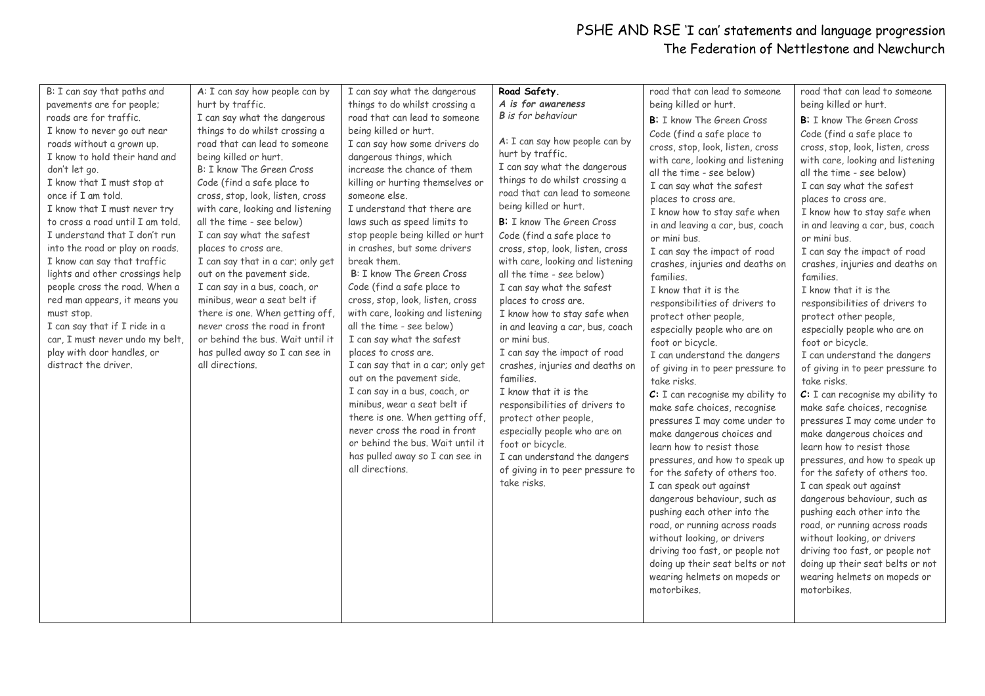| B: I can say that paths and<br>pavements are for people;<br>roads are for traffic.<br>I know to never go out near<br>roads without a grown up.<br>I know to hold their hand and<br>don't let go.<br>I know that I must stop at<br>once if I am told.<br>I know that I must never try<br>to cross a road until I am told.<br>I understand that I don't run<br>into the road or play on roads.<br>I know can say that traffic<br>lights and other crossings help<br>people cross the road. When a<br>red man appears, it means you<br>must stop.<br>I can say that if I ride in a<br>car, I must never undo my belt,<br>play with door handles, or<br>distract the driver. | A: I can say how people can by<br>hurt by traffic.<br>I can say what the dangerous<br>things to do whilst crossing a<br>road that can lead to someone<br>being killed or hurt.<br>B: I know The Green Cross<br>Code (find a safe place to<br>cross, stop, look, listen, cross<br>with care, looking and listening<br>all the time - see below)<br>I can say what the safest<br>places to cross are.<br>I can say that in a car; only get<br>out on the pavement side.<br>I can say in a bus, coach, or<br>minibus, wear a seat belt if<br>there is one. When getting off,<br>never cross the road in front<br>or behind the bus. Wait until it<br>has pulled away so I can see in<br>all directions. | I can say what the dangerous<br>things to do whilst crossing a<br>road that can lead to someone<br>being killed or hurt.<br>I can say how some drivers do<br>dangerous things, which<br>increase the chance of them<br>killing or hurting themselves or<br>someone else.<br>I understand that there are<br>laws such as speed limits to<br>stop people being killed or hurt<br>in crashes, but some drivers<br>break them.<br>B: I know The Green Cross<br>Code (find a safe place to<br>cross, stop, look, listen, cross<br>with care, looking and listening<br>all the time - see below)<br>I can say what the safest<br>places to cross are.<br>I can say that in a car; only get<br>out on the pavement side.<br>I can say in a bus, coach, or<br>minibus, wear a seat belt if<br>there is one. When getting off,<br>never cross the road in front<br>or behind the bus. Wait until it<br>has pulled away so I can see in<br>all directions. | Road Safety.<br>A is for awareness<br><b>B</b> is for behaviour<br>A: I can say how people can by<br>hurt by traffic.<br>I can say what the dangerous<br>things to do whilst crossing a<br>road that can lead to someone<br>being killed or hurt.<br>B: I know The Green Cross<br>Code (find a safe place to<br>cross, stop, look, listen, cross<br>with care, looking and listening<br>all the time - see below)<br>I can say what the safest<br>places to cross are.<br>I know how to stay safe when<br>in and leaving a car, bus, coach<br>or mini bus.<br>I can say the impact of road<br>crashes, injuries and deaths on<br>families.<br>I know that it is the<br>responsibilities of drivers to<br>protect other people,<br>especially people who are on<br>foot or bicycle.<br>I can understand the dangers<br>of giving in to peer pressure to<br>take risks. | road that can lead to someone<br>being killed or hurt.<br><b>B:</b> I know The Green Cross<br>Code (find a safe place to<br>cross, stop, look, listen, cross<br>with care, looking and listening<br>all the time - see below)<br>I can say what the safest<br>places to cross are.<br>I know how to stay safe when<br>in and leaving a car, bus, coach<br>or mini bus.<br>I can say the impact of road<br>crashes, injuries and deaths on<br>families.<br>I know that it is the<br>responsibilities of drivers to<br>protect other people,<br>especially people who are on<br>foot or bicycle.<br>I can understand the dangers<br>of giving in to peer pressure to<br>take risks.<br>C: I can recognise my ability to<br>make safe choices, recognise<br>pressures I may come under to<br>make dangerous choices and<br>learn how to resist those<br>pressures, and how to speak up<br>for the safety of others too.<br>I can speak out against<br>dangerous behaviour, such as<br>pushing each other into the<br>road, or running across roads<br>without looking, or drivers<br>driving too fast, or people not<br>doing up their seat belts or not<br>wearing helmets on mopeds or<br>motorbikes. | road that can lead to someone<br>being killed or hurt.<br><b>B:</b> I know The Green Cross<br>Code (find a safe place to<br>cross, stop, look, listen, cross<br>with care, looking and listening<br>all the time - see below)<br>I can say what the safest<br>places to cross are.<br>I know how to stay safe when<br>in and leaving a car, bus, coach<br>or mini bus.<br>I can say the impact of road<br>crashes, injuries and deaths on<br>families.<br>I know that it is the<br>responsibilities of drivers to<br>protect other people,<br>especially people who are on<br>foot or bicycle.<br>I can understand the dangers<br>of giving in to peer pressure to<br>take risks.<br>$C: I$ can recognise my ability to<br>make safe choices, recognise<br>pressures I may come under to<br>make dangerous choices and<br>learn how to resist those<br>pressures, and how to speak up<br>for the safety of others too.<br>I can speak out against<br>dangerous behaviour, such as<br>pushing each other into the<br>road, or running across roads<br>without looking, or drivers<br>driving too fast, or people not<br>doing up their seat belts or not<br>wearing helmets on mopeds or<br>motorbikes. |
|--------------------------------------------------------------------------------------------------------------------------------------------------------------------------------------------------------------------------------------------------------------------------------------------------------------------------------------------------------------------------------------------------------------------------------------------------------------------------------------------------------------------------------------------------------------------------------------------------------------------------------------------------------------------------|------------------------------------------------------------------------------------------------------------------------------------------------------------------------------------------------------------------------------------------------------------------------------------------------------------------------------------------------------------------------------------------------------------------------------------------------------------------------------------------------------------------------------------------------------------------------------------------------------------------------------------------------------------------------------------------------------|--------------------------------------------------------------------------------------------------------------------------------------------------------------------------------------------------------------------------------------------------------------------------------------------------------------------------------------------------------------------------------------------------------------------------------------------------------------------------------------------------------------------------------------------------------------------------------------------------------------------------------------------------------------------------------------------------------------------------------------------------------------------------------------------------------------------------------------------------------------------------------------------------------------------------------------------------|-----------------------------------------------------------------------------------------------------------------------------------------------------------------------------------------------------------------------------------------------------------------------------------------------------------------------------------------------------------------------------------------------------------------------------------------------------------------------------------------------------------------------------------------------------------------------------------------------------------------------------------------------------------------------------------------------------------------------------------------------------------------------------------------------------------------------------------------------------------------------|------------------------------------------------------------------------------------------------------------------------------------------------------------------------------------------------------------------------------------------------------------------------------------------------------------------------------------------------------------------------------------------------------------------------------------------------------------------------------------------------------------------------------------------------------------------------------------------------------------------------------------------------------------------------------------------------------------------------------------------------------------------------------------------------------------------------------------------------------------------------------------------------------------------------------------------------------------------------------------------------------------------------------------------------------------------------------------------------------------------------------------------------------------------------------------------------------|--------------------------------------------------------------------------------------------------------------------------------------------------------------------------------------------------------------------------------------------------------------------------------------------------------------------------------------------------------------------------------------------------------------------------------------------------------------------------------------------------------------------------------------------------------------------------------------------------------------------------------------------------------------------------------------------------------------------------------------------------------------------------------------------------------------------------------------------------------------------------------------------------------------------------------------------------------------------------------------------------------------------------------------------------------------------------------------------------------------------------------------------------------------------------------------------------------|
|                                                                                                                                                                                                                                                                                                                                                                                                                                                                                                                                                                                                                                                                          |                                                                                                                                                                                                                                                                                                                                                                                                                                                                                                                                                                                                                                                                                                      |                                                                                                                                                                                                                                                                                                                                                                                                                                                                                                                                                                                                                                                                                                                                                                                                                                                                                                                                                  |                                                                                                                                                                                                                                                                                                                                                                                                                                                                                                                                                                                                                                                                                                                                                                                                                                                                       |                                                                                                                                                                                                                                                                                                                                                                                                                                                                                                                                                                                                                                                                                                                                                                                                                                                                                                                                                                                                                                                                                                                                                                                                      |                                                                                                                                                                                                                                                                                                                                                                                                                                                                                                                                                                                                                                                                                                                                                                                                                                                                                                                                                                                                                                                                                                                                                                                                        |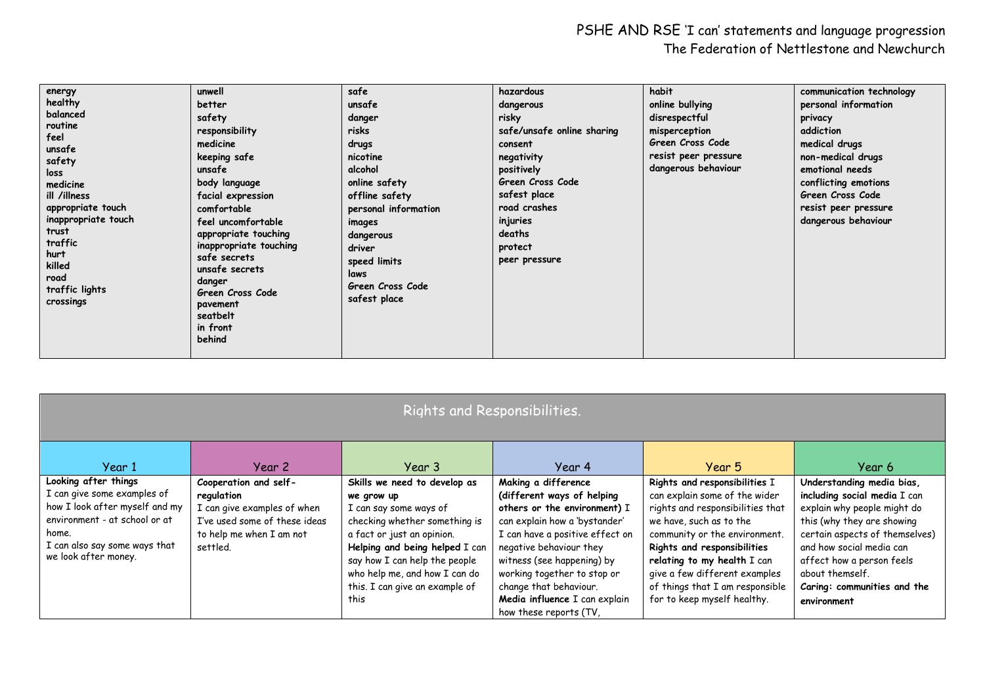| energy                      | unwell                 | safe                 | hazardous                  | habit                | communication technology |
|-----------------------------|------------------------|----------------------|----------------------------|----------------------|--------------------------|
| healthy                     | better                 | unsafe               | dangerous                  | online bullying      | personal information     |
| balanced                    | safety                 | danger               | risky                      | disrespectful        | privacy                  |
| routine                     | responsibility         | risks                | safe/unsafe online sharing | misperception        | addiction                |
| feel                        | medicine               | drugs                | consent                    | Green Cross Code     | medical drugs            |
| unsafe<br>safety            | keeping safe           | nicotine             | negativity                 | resist peer pressure | non-medical drugs        |
| loss                        | unsafe                 | alcohol              | positively                 | dangerous behaviour  | emotional needs          |
| medicine                    | body language          | online safety        | Green Cross Code           |                      | conflicting emotions     |
| ill /illness                | facial expression      | offline safety       | safest place               |                      | Green Cross Code         |
| appropriate touch           | comfortable            | personal information | road crashes               |                      | resist peer pressure     |
| inappropriate touch         | feel uncomfortable     | images               | injuries                   |                      | dangerous behaviour      |
| trust                       | appropriate touching   | dangerous            | deaths                     |                      |                          |
| traffic                     | inappropriate touching | driver               | protect                    |                      |                          |
| hurt                        | safe secrets           | speed limits         | peer pressure              |                      |                          |
| killed                      | unsafe secrets         | laws                 |                            |                      |                          |
| road                        | danger                 | Green Cross Code     |                            |                      |                          |
| traffic lights<br>crossings | Green Cross Code       | safest place         |                            |                      |                          |
|                             | pavement               |                      |                            |                      |                          |
|                             | seatbelt               |                      |                            |                      |                          |
|                             | in front<br>behind     |                      |                            |                      |                          |
|                             |                        |                      |                            |                      |                          |
|                             |                        |                      |                            |                      |                          |

| Rights and Responsibilities.                                                                                                                                                             |                                                                                                                                             |                                                                                                                                                                                                                                                                                   |                                                                                                                                                                                                                                                                                                                                    |                                                                                                                                                                                                                                                                                                                                 |                                                                                                                                                                                                                                                                                    |  |  |  |  |
|------------------------------------------------------------------------------------------------------------------------------------------------------------------------------------------|---------------------------------------------------------------------------------------------------------------------------------------------|-----------------------------------------------------------------------------------------------------------------------------------------------------------------------------------------------------------------------------------------------------------------------------------|------------------------------------------------------------------------------------------------------------------------------------------------------------------------------------------------------------------------------------------------------------------------------------------------------------------------------------|---------------------------------------------------------------------------------------------------------------------------------------------------------------------------------------------------------------------------------------------------------------------------------------------------------------------------------|------------------------------------------------------------------------------------------------------------------------------------------------------------------------------------------------------------------------------------------------------------------------------------|--|--|--|--|
| Year 1                                                                                                                                                                                   | Year 2                                                                                                                                      | Year 3                                                                                                                                                                                                                                                                            | Year 4                                                                                                                                                                                                                                                                                                                             | Year 5                                                                                                                                                                                                                                                                                                                          | Year 6                                                                                                                                                                                                                                                                             |  |  |  |  |
| Looking after things<br>I can give some examples of<br>how I look after myself and my<br>environment - at school or at<br>home.<br>I can also say some ways that<br>we look after money. | Cooperation and self-<br>regulation<br>I can give examples of when<br>I've used some of these ideas<br>to help me when I am not<br>settled. | Skills we need to develop as<br>we grow up<br>I can say some ways of<br>checking whether something is<br>a fact or just an opinion.<br>Helping and being helped I can<br>say how I can help the people<br>who help me, and how I can do<br>this. I can give an example of<br>this | Making a difference<br>(different ways of helping<br>others or the environment) I<br>can explain how a 'bystander'<br>I can have a positive effect on<br>negative behaviour they<br>witness (see happening) by<br>working together to stop or<br>change that behaviour.<br>Media influence I can explain<br>how these reports (TV, | Rights and responsibilities I<br>can explain some of the wider<br>rights and responsibilities that<br>we have, such as to the<br>community or the environment.<br>Rights and responsibilities<br>relating to my health I can<br>give a few different examples<br>of things that I am responsible<br>for to keep myself healthy. | Understanding media bias,<br>including social media I can<br>explain why people might do<br>this (why they are showing<br>certain aspects of themselves)<br>and how social media can<br>affect how a person feels<br>about themself.<br>Caring: communities and the<br>environment |  |  |  |  |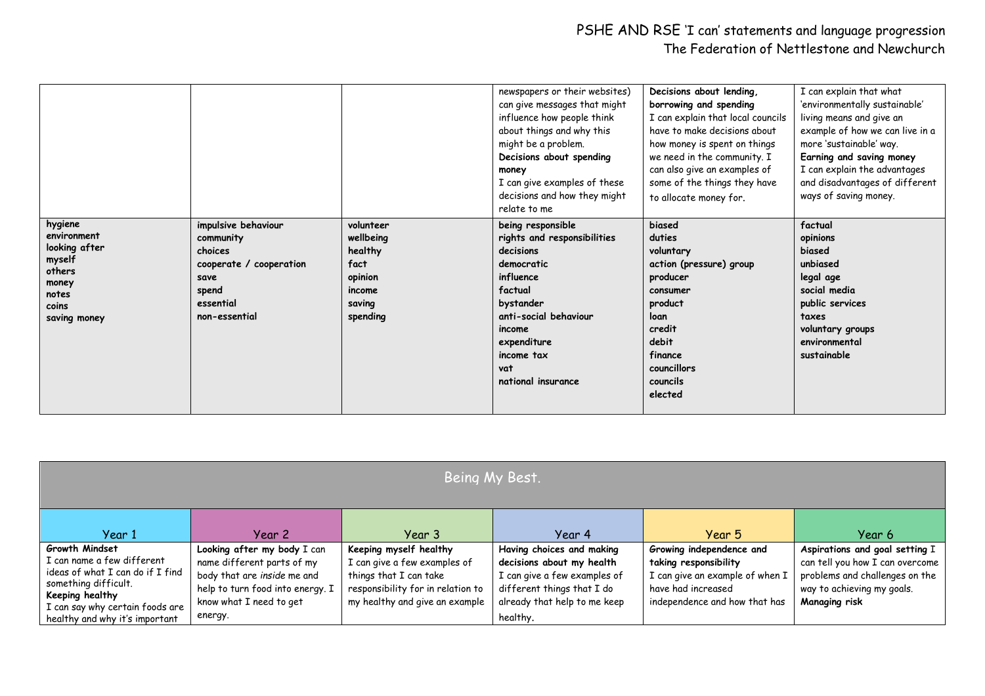|                                                                                                        |                                                                                                                       |                                                                                      | newspapers or their websites)<br>can give messages that might<br>influence how people think<br>about things and why this<br>might be a problem.<br>Decisions about spending<br>money<br>I can give examples of these<br>decisions and how they might<br>relate to me | Decisions about lending,<br>borrowing and spending<br>I can explain that local councils<br>have to make decisions about<br>how money is spent on things<br>we need in the community. I<br>can also give an examples of<br>some of the things they have<br>to allocate money for. | I can explain that what<br>'environmentally sustainable'<br>living means and give an<br>example of how we can live in a<br>more 'sustainable' way.<br>Earning and saving money<br>I can explain the advantages<br>and disadvantages of different<br>ways of saving money. |
|--------------------------------------------------------------------------------------------------------|-----------------------------------------------------------------------------------------------------------------------|--------------------------------------------------------------------------------------|----------------------------------------------------------------------------------------------------------------------------------------------------------------------------------------------------------------------------------------------------------------------|----------------------------------------------------------------------------------------------------------------------------------------------------------------------------------------------------------------------------------------------------------------------------------|---------------------------------------------------------------------------------------------------------------------------------------------------------------------------------------------------------------------------------------------------------------------------|
| hygiene<br>environment<br>looking after<br>myself<br>others<br>money<br>notes<br>coins<br>saving money | impulsive behaviour<br>community<br>choices<br>cooperate / cooperation<br>save<br>spend<br>essential<br>non-essential | volunteer<br>wellbeing<br>healthy<br>fact<br>opinion<br>income<br>saving<br>spending | being responsible<br>rights and responsibilities<br>decisions<br>democratic<br>influence<br>factual<br>bystander<br>anti-social behaviour<br>income<br>expenditure<br>income tax<br>vat<br>national insurance                                                        | biased<br>duties<br>voluntary<br>action (pressure) group<br>producer<br>consumer<br>product<br>loan<br>credit<br>debit<br>finance<br>councillors<br>councils<br>elected                                                                                                          | factual<br>opinions<br>biased<br>unbiased<br>legal age<br>social media<br>public services<br>taxes<br>voluntary groups<br>environmental<br>sustainable                                                                                                                    |

| Being My Best.                                                                                                                                                                                   |                                                                                                                                                                    |                                                                                                                                                         |                                                                                                                                                                  |                                                                                                                                             |                                                                                                                                                    |  |  |  |
|--------------------------------------------------------------------------------------------------------------------------------------------------------------------------------------------------|--------------------------------------------------------------------------------------------------------------------------------------------------------------------|---------------------------------------------------------------------------------------------------------------------------------------------------------|------------------------------------------------------------------------------------------------------------------------------------------------------------------|---------------------------------------------------------------------------------------------------------------------------------------------|----------------------------------------------------------------------------------------------------------------------------------------------------|--|--|--|
| Year 1                                                                                                                                                                                           | Year 2                                                                                                                                                             | Year 3                                                                                                                                                  | Year 4                                                                                                                                                           | Year 5                                                                                                                                      | Year 6                                                                                                                                             |  |  |  |
| Growth Mindset<br>I can name a few different<br>ideas of what I can do if I find<br>something difficult.<br>Keeping healthy<br>I can say why certain foods are<br>healthy and why it's important | Looking after my body I can<br>name different parts of my<br>body that are inside me and<br>help to turn food into energy. I<br>know what I need to get<br>energy. | Keeping myself healthy<br>I can give a few examples of<br>things that I can take<br>responsibility for in relation to<br>my healthy and give an example | Having choices and making<br>decisions about my health<br>I can give a few examples of<br>different things that I do<br>already that help to me keep<br>healthy. | Growing independence and<br>taking responsibility<br>I can give an example of when I<br>have had increased<br>independence and how that has | Aspirations and goal setting I<br>can tell you how I can overcome<br>problems and challenges on the<br>way to achieving my goals.<br>Managing risk |  |  |  |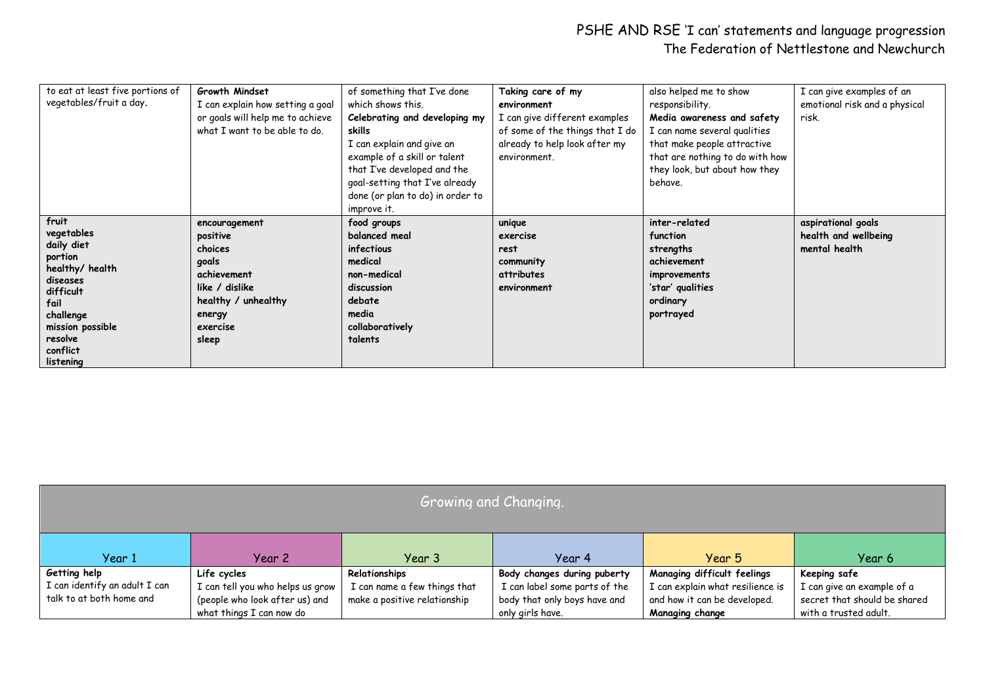| to eat at least five portions of | Growth Mindset                   | of something that I've done      | Taking care of my               | also helped me to show          | I can give examples of an     |
|----------------------------------|----------------------------------|----------------------------------|---------------------------------|---------------------------------|-------------------------------|
| vegetables/fruit a day.          | I can explain how setting a goal | which shows this.                | environment                     | responsibility.                 | emotional risk and a physical |
|                                  | or goals will help me to achieve | Celebrating and developing my    | I can give different examples   | Media awareness and safety      | risk.                         |
|                                  | what I want to be able to do.    | skills                           | of some of the things that I do | I can name several qualities    |                               |
|                                  |                                  | I can explain and give an        | already to help look after my   | that make people attractive     |                               |
|                                  |                                  | example of a skill or talent     | environment.                    | that are nothing to do with how |                               |
|                                  |                                  | that I've developed and the      |                                 | they look, but about how they   |                               |
|                                  |                                  | goal-setting that I've already   |                                 | behave.                         |                               |
|                                  |                                  | done (or plan to do) in order to |                                 |                                 |                               |
|                                  |                                  | improve it.                      |                                 |                                 |                               |
| fruit                            | encouragement                    | food groups                      | unique                          | inter-related                   | aspirational goals            |
| vegetables                       | positive                         | balanced meal                    | exercise                        | function                        | health and wellbeing          |
| daily diet                       | choices                          | infectious                       | rest                            | strengths                       | mental health                 |
| portion                          | goals                            | medical                          | community                       | achievement                     |                               |
| healthy/ health<br>diseases      | achievement                      | non-medical                      | attributes                      | improvements                    |                               |
| difficult                        | like / dislike                   | discussion                       | environment                     | 'star' qualities                |                               |
| fail                             | healthy / unhealthy              | debate                           |                                 | ordinary                        |                               |
| challenge                        | energy                           | media                            |                                 | portrayed                       |                               |
| mission possible                 | exercise                         | collaboratively                  |                                 |                                 |                               |
| resolve                          | sleep                            | talents                          |                                 |                                 |                               |
| conflict                         |                                  |                                  |                                 |                                 |                               |
| listening                        |                                  |                                  |                                 |                                 |                               |

| Growing and Changing.         |                                  |                              |                               |                                  |                              |  |  |  |
|-------------------------------|----------------------------------|------------------------------|-------------------------------|----------------------------------|------------------------------|--|--|--|
| Year 1                        | Year 2                           | Year 3                       | Year 4                        | Year 5                           | Year 6                       |  |  |  |
| Getting help                  | Life cycles                      | Relationships                | Body changes during puberty   | Managing difficult feelings      | Keeping safe                 |  |  |  |
| I can identify an adult I can | I can tell you who helps us grow | I can name a few things that | I can label some parts of the | I can explain what resilience is | I can give an example of a   |  |  |  |
| talk to at both home and      | (people who look after us) and   | make a positive relationship | body that only boys have and  | and how it can be developed.     | secret that should be shared |  |  |  |
|                               | what things I can now do         |                              | only girls have.              | Managing change                  | with a trusted adult.        |  |  |  |